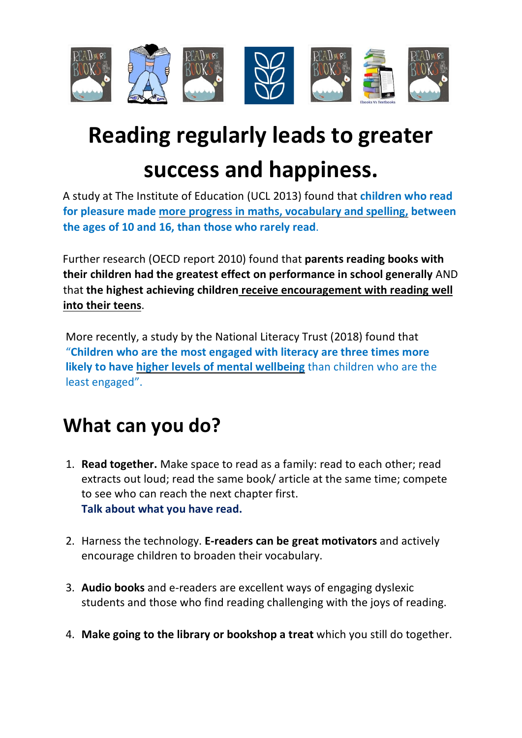

## **Reading regularly leads to greater success and happiness.**

A study at The Institute of Education (UCL 2013) found that **children who read for pleasure made more progress in maths, vocabulary and spelling, between the ages of 10 and 16, than those who rarely read**.

Further research (OECD report 2010) found that **parents reading books with their children had the greatest effect on performance in school generally** AND that **the highest achieving children receive encouragement with reading well into their teens**.

More recently, a study by the National Literacy Trust (2018) found that "**Children who are the most engaged with literacy are three times more likely to have higher levels of mental wellbeing** than children who are the least engaged".

## **What can you do?**

- 1. **Read together.** Make space to read as a family: read to each other; read extracts out loud; read the same book/ article at the same time; compete to see who can reach the next chapter first. **Talk about what you have read.**
- 2. Harness the technology. **E-readers can be great motivators** and actively encourage children to broaden their vocabulary.
- 3. **Audio books** and e-readers are excellent ways of engaging dyslexic students and those who find reading challenging with the joys of reading.
- 4. **Make going to the library or bookshop a treat** which you still do together.